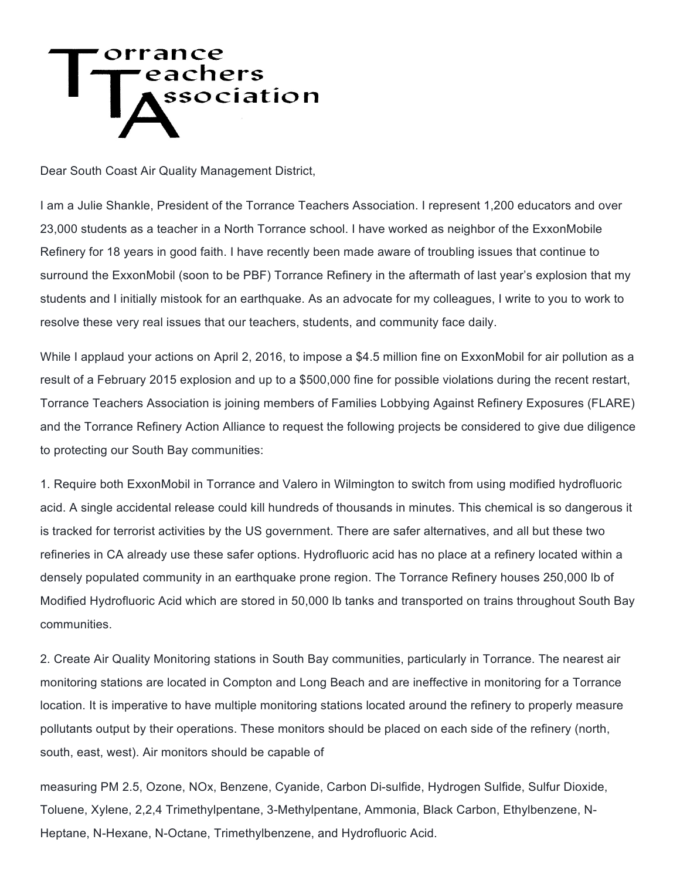## orrar eachers<br>Association

Dear South Coast Air Quality Management District,

I am a Julie Shankle, President of the Torrance Teachers Association. I represent 1,200 educators and over 23,000 students as a teacher in a North Torrance school. I have worked as neighbor of the ExxonMobile Refinery for 18 years in good faith. I have recently been made aware of troubling issues that continue to surround the ExxonMobil (soon to be PBF) Torrance Refinery in the aftermath of last year's explosion that my students and I initially mistook for an earthquake. As an advocate for my colleagues, I write to you to work to resolve these very real issues that our teachers, students, and community face daily.

While I applaud your actions on April 2, 2016, to impose a \$4.5 million fine on ExxonMobil for air pollution as a result of a February 2015 explosion and up to a \$500,000 fine for possible violations during the recent restart, Torrance Teachers Association is joining members of Families Lobbying Against Refinery Exposures (FLARE) and the Torrance Refinery Action Alliance to request the following projects be considered to give due diligence to protecting our South Bay communities:

1. Require both ExxonMobil in Torrance and Valero in Wilmington to switch from using modified hydrofluoric acid. A single accidental release could kill hundreds of thousands in minutes. This chemical is so dangerous it is tracked for terrorist activities by the US government. There are safer alternatives, and all but these two refineries in CA already use these safer options. Hydrofluoric acid has no place at a refinery located within a densely populated community in an earthquake prone region. The Torrance Refinery houses 250,000 lb of Modified Hydrofluoric Acid which are stored in 50,000 lb tanks and transported on trains throughout South Bay communities.

2. Create Air Quality Monitoring stations in South Bay communities, particularly in Torrance. The nearest air monitoring stations are located in Compton and Long Beach and are ineffective in monitoring for a Torrance location. It is imperative to have multiple monitoring stations located around the refinery to properly measure pollutants output by their operations. These monitors should be placed on each side of the refinery (north, south, east, west). Air monitors should be capable of

measuring PM 2.5, Ozone, NOx, Benzene, Cyanide, Carbon Di-sulfide, Hydrogen Sulfide, Sulfur Dioxide, Toluene, Xylene, 2,2,4 Trimethylpentane, 3-Methylpentane, Ammonia, Black Carbon, Ethylbenzene, N-Heptane, N-Hexane, N-Octane, Trimethylbenzene, and Hydrofluoric Acid.